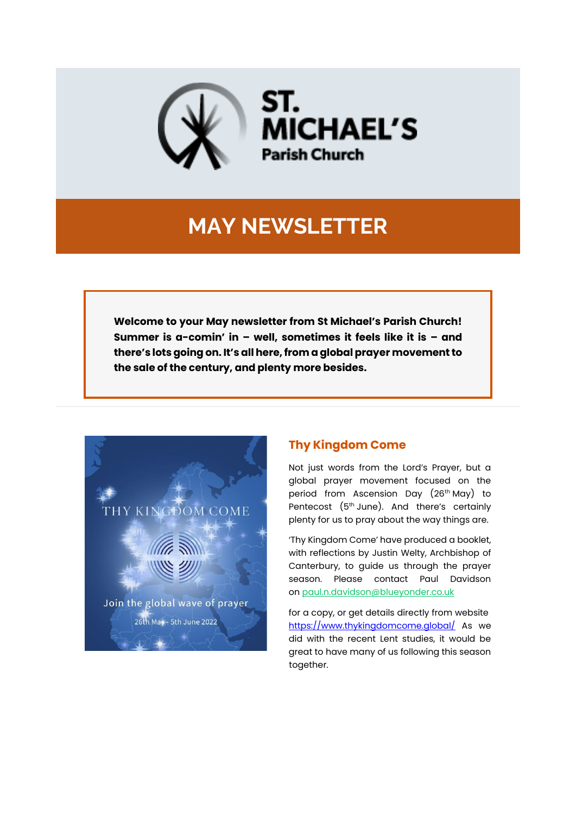

# **MAY NEWSLETTER**

**Welcome to your May newsletter from St Michael's Parish Church! Summer is a-comin' in – well, sometimes it feels like it is – and there's lots going on. It's all here, from a global prayer movement to the sale of the century, and plenty more besides.**



### **Thy Kingdom Come**

Not just words from the Lord's Prayer, but a global prayer movement focused on the period from Ascension Day (26th May) to Pentecost (5th June). And there's certainly plenty for us to pray about the way things are.

'Thy Kingdom Come' have produced a booklet, with reflections by Justin Welty, Archbishop of Canterbury, to guide us through the prayer season. Please contact Paul Davidson on [paul.n.davidson@blueyonder.co.uk](mailto:paul.n.davidson@blueyonder.co.uk)

for a copy, or get details directly from website <https://www.thykingdomcome.global/> As we did with the recent Lent studies, it would be great to have many of us following this season together.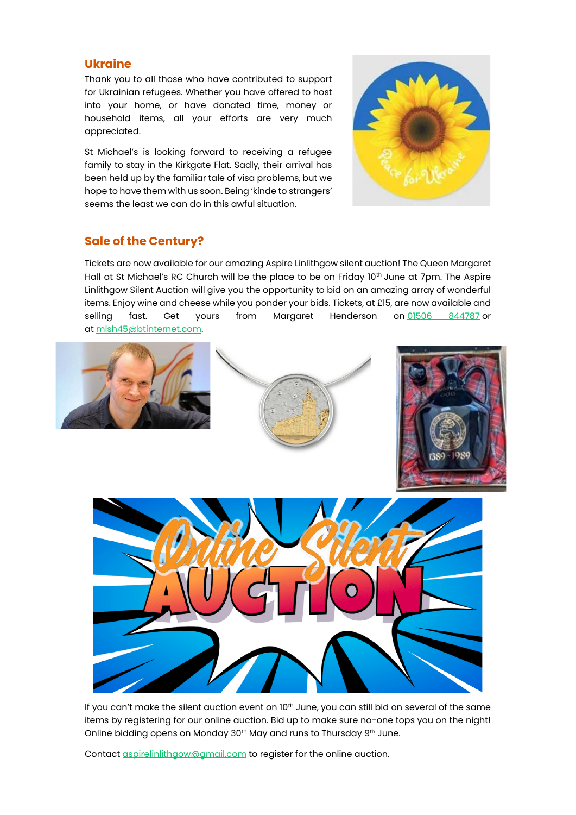#### **Ukraine**

Thank you to all those who have contributed to support for Ukrainian refugees. Whether you have offered to host into your home, or have donated time, money or household items, all your efforts are very much appreciated.

St Michael's is looking forward to receiving a refugee family to stay in the Kirkgate Flat. Sadly, their arrival has been held up by the familiar tale of visa problems, but we hope to have them with us soon. Being 'kinde to strangers' seems the least we can do in this awful situation.



#### **Sale of the Century?**

Tickets are now available for our amazing Aspire Linlithgow silent auction! The Queen Margaret Hall at St Michael's RC Church will be the place to be on Friday 10<sup>th</sup> June at 7pm. The Aspire Linlithgow Silent Auction will give you the opportunity to bid on an amazing array of wonderful items. Enjoy wine and cheese while you ponder your bids. Tickets, at £15, are now available and selling fast. Get yours from Margaret Henderson on [01506 844787](tel:01506%20844787) or at [mlsh45@btinternet.com.](mailto:mlsh45@btinternet.com)



If you can't make the silent auction event on 10<sup>th</sup> June, you can still bid on several of the same items by registering for our online auction. Bid up to make sure no-one tops you on the night! Online bidding opens on Monday 30<sup>th</sup> May and runs to Thursday 9<sup>th</sup> June.

Contact [aspirelinlithgow@gmail.com](mailto:aspirelinlithgow@gmail.com) to register for the online auction.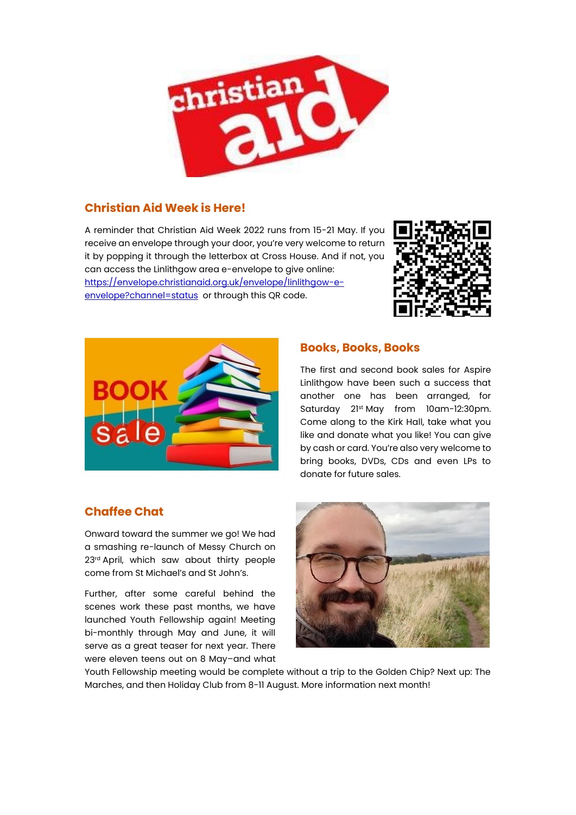

### **Christian Aid Week is Here!**

A reminder that Christian Aid Week 2022 runs from 15-21 May. If you receive an envelope through your door, you're very welcome to return it by popping it through the letterbox at Cross House. And if not, you can access the Linlithgow area e-envelope to give online: [https://envelope.christianaid.org.uk/envelope/linlithgow-e](https://envelope.christianaid.org.uk/envelope/linlithgow-e-envelope?channel=status)[envelope?channel=status](https://envelope.christianaid.org.uk/envelope/linlithgow-e-envelope?channel=status) or through this QR code.





#### **Books, Books, Books**

The first and second book sales for Aspire Linlithgow have been such a success that another one has been arranged, for Saturday 21st May from 10am-12:30pm. Come along to the Kirk Hall, take what you like and donate what you like! You can give by cash or card. You're also very welcome to bring books, DVDs, CDs and even LPs to donate for future sales.

### **Chaffee Chat**

Onward toward the summer we go! We had a smashing re-launch of Messy Church on 23rd April, which saw about thirty people come from St Michael's and St John's.

Further, after some careful behind the scenes work these past months, we have launched Youth Fellowship again! Meeting bi-monthly through May and June, it will serve as a great teaser for next year. There were eleven teens out on 8 May–and what



Youth Fellowship meeting would be complete without a trip to the Golden Chip? Next up: The Marches, and then Holiday Club from 8-11 August. More information next month!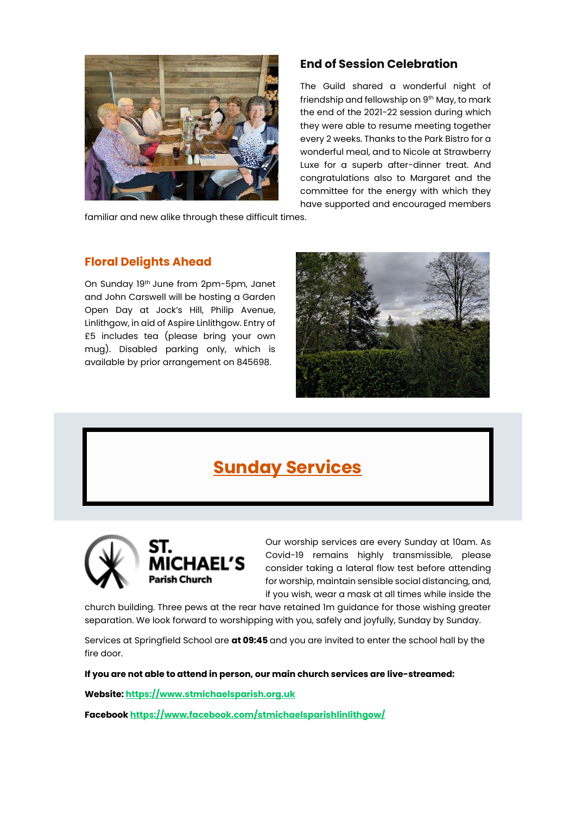

### **End of Session Celebration**

The Guild shared a wonderful night of friendship and fellowship on 9th May, to mark the end of the 2021-22 session during which they were able to resume meeting together every 2 weeks. Thanks to the Park Bistro for a wonderful meal, and to Nicole at Strawberry Luxe for a superb after-dinner treat. And congratulations also to Margaret and the committee for the energy with which they have supported and encouraged members

familiar and new alike through these difficult times.

#### **Floral Delights Ahead**

On Sunday 19th June from 2pm-5pm, Janet and John Carswell will be hosting a Garden Open Day at Jock's Hill, Philip Avenue, Linlithgow, in aid of Aspire Linlithgow. Entry of £5 includes tea (please bring your own mug). Disabled parking only, which is available by prior arrangement on 845698.



# **Sunday Services**



Our worship services are every Sunday at 10am. As Covid-19 remains highly transmissible, please consider taking a lateral flow test before attending for worship, maintain sensible social distancing, and, if you wish, wear a mask at all times while inside the

church building. Three pews at the rear have retained 1m guidance for those wishing greater separation. We look forward to worshipping with you, safely and joyfully, Sunday by Sunday.

Services at Springfield School are **at 09:45** and you are invited to enter the school hall by the fire door.

**If you are not able to attend in person, our main church services are live-streamed:**

**Website: [https://www.stmichaelsparish.org.uk](https://www.stmichaelsparish.org.uk/)**

**Facebook <https://www.facebook.com/stmichaelsparishlinlithgow/>**